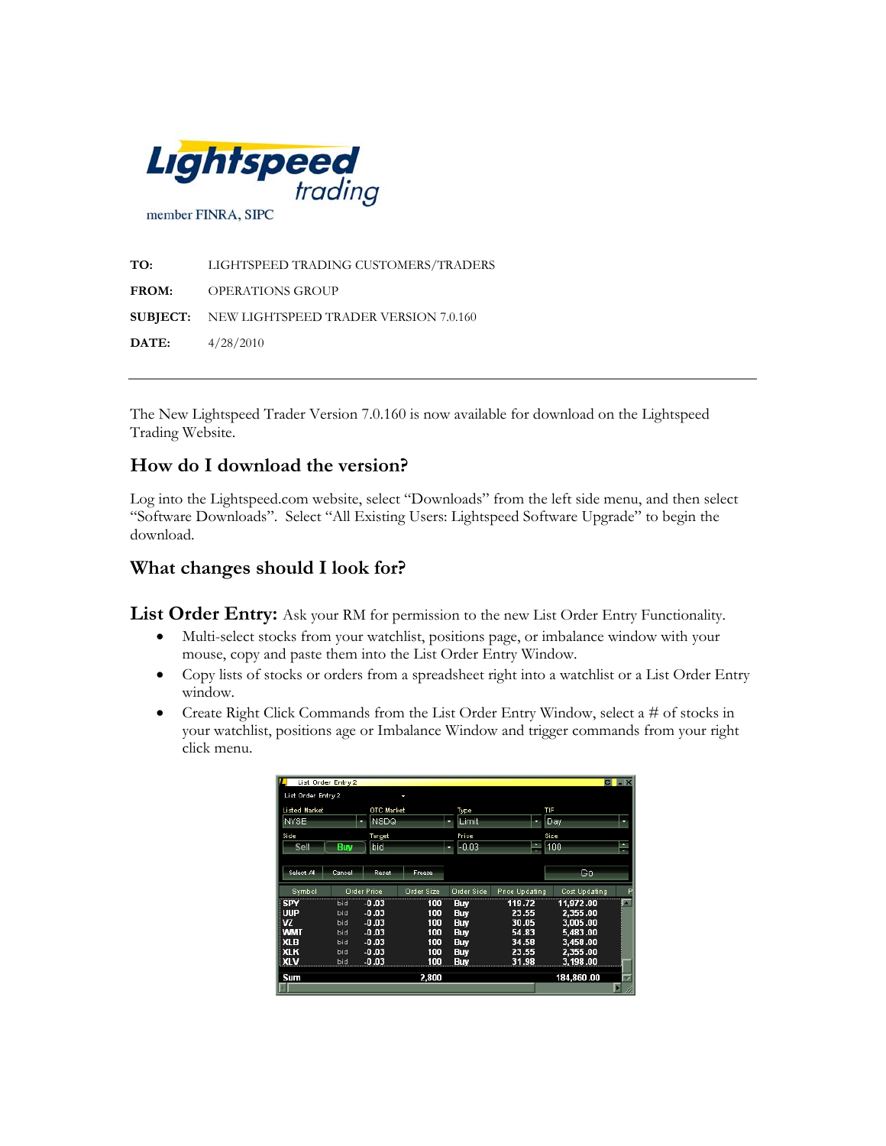

**TO:** LIGHTSPEED TRADING CUSTOMERS/TRADERS **FROM:** OPERATIONS GROUP **SUBJECT:** NEW LIGHTSPEED TRADER VERSION 7.0.160 **DATE:** 4/28/2010

The New Lightspeed Trader Version 7.0.160 is now available for download on the Lightspeed Trading Website.

## **How do I download the version?**

Log into the Lightspeed.com website, select "Downloads" from the left side menu, and then select "Software Downloads". Select "All Existing Users: Lightspeed Software Upgrade" to begin the download.

## **What changes should I look for?**

**List Order Entry:** Ask your RM for permission to the new List Order Entry Functionality.

- Multi-select stocks from your watchlist, positions page, or imbalance window with your mouse, copy and paste them into the List Order Entry Window.
- Copy lists of stocks or orders from a spreadsheet right into a watchlist or a List Order Entry window.
- Create Right Click Commands from the List Order Entry Window, select a # of stocks in your watchlist, positions age or Imbalance Window and trigger commands from your right click menu.

|                              |            | OTC Market         |                   |               |                       | TIF                  |        |
|------------------------------|------------|--------------------|-------------------|---------------|-----------------------|----------------------|--------|
| <b>Listed Market</b><br>NYSE |            | NSDQ               |                   | Type<br>Limit |                       |                      |        |
|                              |            |                    |                   | ×             | ۰                     | Day                  |        |
| Side                         |            | Target             |                   | Price         |                       | Size                 |        |
| Sell                         | <b>Buy</b> | bid                |                   | -0.03<br>۰    | ٠<br>۳                | 100                  | ٠<br>÷ |
|                              |            |                    |                   |               |                       |                      |        |
| Select All                   | Cancel     | Reset              | Freeze            |               |                       | Gа                   |        |
| Symbol                       |            | <b>Order Price</b> | <b>Order Size</b> | Order Side    | <b>Price Updating</b> | <b>Cost Updating</b> |        |
| <b>SPY</b>                   | <b>bid</b> | $-0.03$            | 100               | Buy           | 119.72                | 11,972.00            |        |
| i uup                        | bid        | $-0.03$            | 100               | <b>Buv</b>    | 23.55                 | 2.355.00             |        |
| <b>VZ</b>                    | bid        | $-0.03$            | 100               | <b>Buv</b>    | 30.05                 | 3,005.00             |        |
| <b>WMT</b>                   | bid        | $-0.03$            | 100               | <b>Buv</b>    | 54.83                 | 5,483.00             |        |
|                              | bid        | $-0.03$            | 100               | <b>Buv</b>    | 34.58                 | 3,458.00             |        |
| X <sub>LB</sub>              |            |                    | 100               | <b>Buv</b>    | 23.55                 | 2,355.00             |        |
| XLK                          | bid        | $-0.03$            |                   |               |                       |                      |        |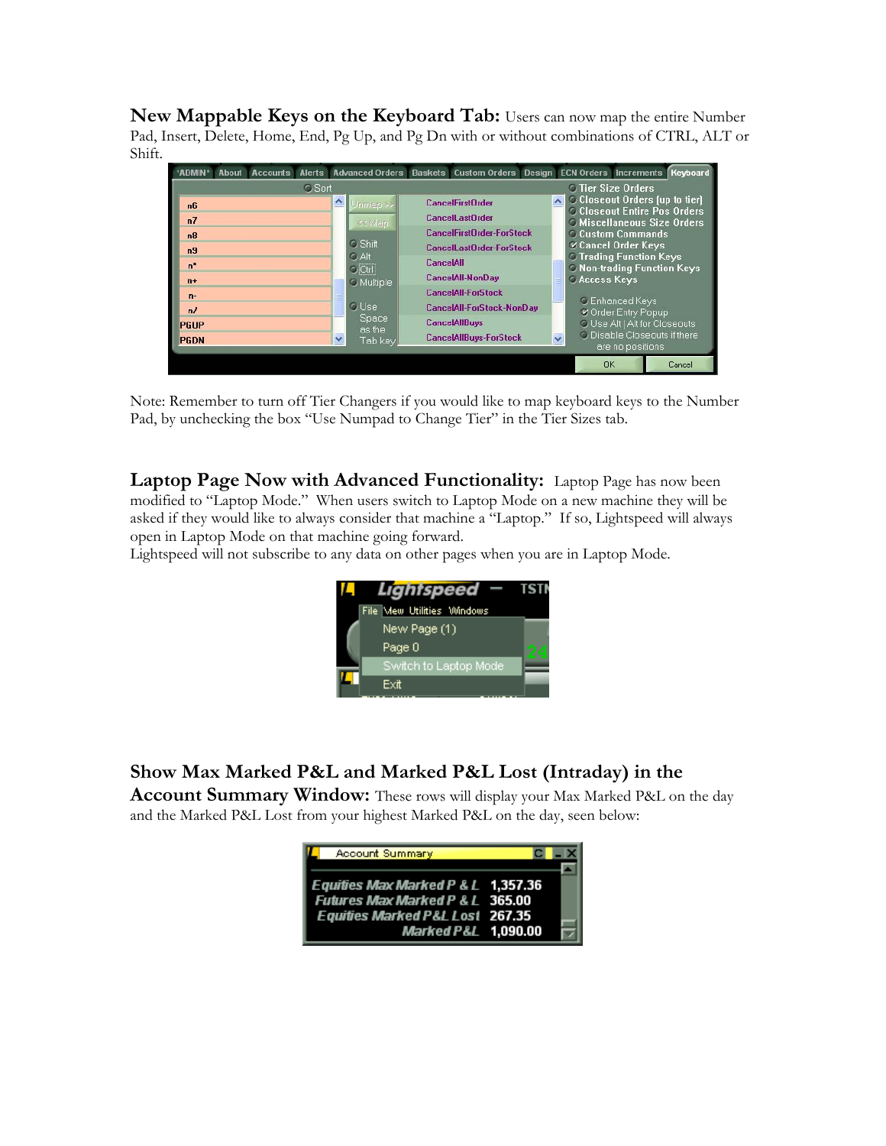**New Mappable Keys on the Keyboard Tab:** Users can now map the entire Number Pad, Insert, Delete, Home, End, Pg Up, and Pg Dn with or without combinations of CTRL, ALT or Shift.



Note: Remember to turn off Tier Changers if you would like to map keyboard keys to the Number Pad, by unchecking the box "Use Numpad to Change Tier" in the Tier Sizes tab.

**Laptop Page Now with Advanced Functionality:** Laptop Page has now been modified to "Laptop Mode." When users switch to Laptop Mode on a new machine they will be asked if they would like to always consider that machine a "Laptop." If so, Lightspeed will always open in Laptop Mode on that machine going forward.

Lightspeed will not subscribe to any data on other pages when you are in Laptop Mode.



## **Show Max Marked P&L and Marked P&L Lost (Intraday) in the**

**Account Summary Window:** These rows will display your Max Marked P&L on the day and the Marked P&L Lost from your highest Marked P&L on the day, seen below: